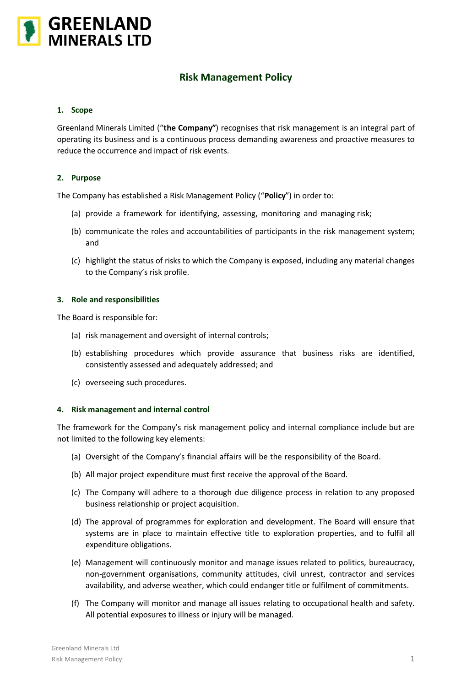

# **Risk Management Policy**

## **1. Scope**

Greenland Minerals Limited ("**the Company"**) recognises that risk management is an integral part of operating its business and is a continuous process demanding awareness and proactive measures to reduce the occurrence and impact of risk events.

# **2. Purpose**

The Company has established a Risk Management Policy ("**Policy**") in order to:

- (a) provide a framework for identifying, assessing, monitoring and managing risk;
- (b) communicate the roles and accountabilities of participants in the risk management system; and
- (c) highlight the status of risks to which the Company is exposed, including any material changes to the Company's risk profile.

#### **3. Role and responsibilities**

The Board is responsible for:

- (a) risk management and oversight of internal controls;
- (b) establishing procedures which provide assurance that business risks are identified, consistently assessed and adequately addressed; and
- (c) overseeing such procedures.

#### **4. Risk management and internal control**

The framework for the Company's risk management policy and internal compliance include but are not limited to the following key elements:

- (a) Oversight of the Company's financial affairs will be the responsibility of the Board.
- (b) All major project expenditure must first receive the approval of the Board.
- (c) The Company will adhere to a thorough due diligence process in relation to any proposed business relationship or project acquisition.
- (d) The approval of programmes for exploration and development. The Board will ensure that systems are in place to maintain effective title to exploration properties, and to fulfil all expenditure obligations.
- (e) Management will continuously monitor and manage issues related to politics, bureaucracy, non-government organisations, community attitudes, civil unrest, contractor and services availability, and adverse weather, which could endanger title or fulfilment of commitments.
- (f) The Company will monitor and manage all issues relating to occupational health and safety. All potential exposures to illness or injury will be managed.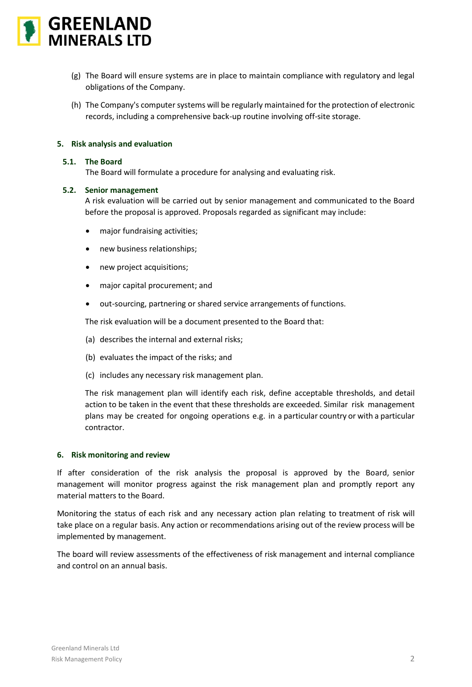

- (g) The Board will ensure systems are in place to maintain compliance with regulatory and legal obligations of the Company.
- (h) The Company's computer systems will be regularly maintained for the protection of electronic records, including a comprehensive back-up routine involving off-site storage.

### **5. Risk analysis and evaluation**

#### **5.1. The Board**

The Board will formulate a procedure for analysing and evaluating risk.

#### **5.2. Senior management**

A risk evaluation will be carried out by senior management and communicated to the Board before the proposal is approved. Proposals regarded as significant may include:

- major fundraising activities;
- new business relationships;
- new project acquisitions;
- major capital procurement; and
- out-sourcing, partnering or shared service arrangements of functions.

The risk evaluation will be a document presented to the Board that:

- (a) describes the internal and external risks;
- (b) evaluates the impact of the risks; and
- (c) includes any necessary risk management plan.

The risk management plan will identify each risk, define acceptable thresholds, and detail action to be taken in the event that these thresholds are exceeded. Similar risk management plans may be created for ongoing operations e.g. in a particular country or with a particular contractor.

#### **6. Risk monitoring and review**

If after consideration of the risk analysis the proposal is approved by the Board, senior management will monitor progress against the risk management plan and promptly report any material matters to the Board.

Monitoring the status of each risk and any necessary action plan relating to treatment of risk will take place on a regular basis. Any action or recommendations arising out of the review process will be implemented by management.

The board will review assessments of the effectiveness of risk management and internal compliance and control on an annual basis.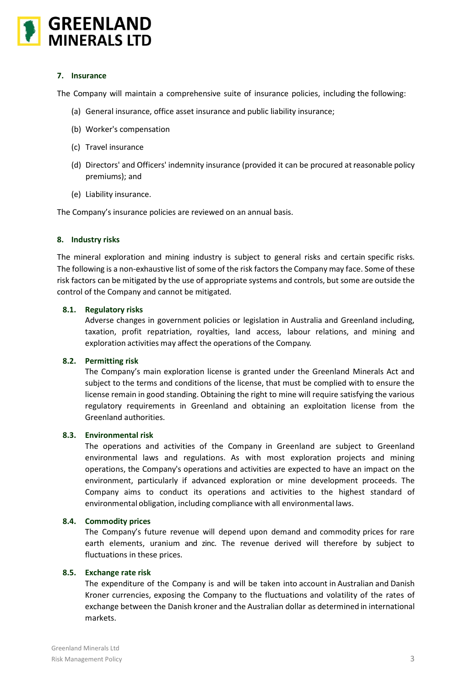

# **7. Insurance**

The Company will maintain a comprehensive suite of insurance policies, including the following:

- (a) General insurance, office asset insurance and public liability insurance;
- (b) Worker's compensation
- (c) Travel insurance
- (d) Directors' and Officers' indemnity insurance (provided it can be procured at reasonable policy premiums); and
- (e) Liability insurance.

The Company's insurance policies are reviewed on an annual basis.

#### **8. Industry risks**

The mineral exploration and mining industry is subject to general risks and certain specific risks. The following is a non-exhaustive list of some of the risk factors the Company may face. Some of these risk factors can be mitigated by the use of appropriate systems and controls, but some are outside the control of the Company and cannot be mitigated.

## **8.1. Regulatory risks**

Adverse changes in government policies or legislation in Australia and Greenland including, taxation, profit repatriation, royalties, land access, labour relations, and mining and exploration activities may affect the operations of the Company.

#### **8.2. Permitting risk**

The Company's main exploration license is granted under the Greenland Minerals Act and subject to the terms and conditions of the license, that must be complied with to ensure the license remain in good standing. Obtaining the right to mine will require satisfying the various regulatory requirements in Greenland and obtaining an exploitation license from the Greenland authorities.

#### **8.3. Environmental risk**

The operations and activities of the Company in Greenland are subject to Greenland environmental laws and regulations. As with most exploration projects and mining operations, the Company's operations and activities are expected to have an impact on the environment, particularly if advanced exploration or mine development proceeds. The Company aims to conduct its operations and activities to the highest standard of environmental obligation, including compliance with all environmental laws.

#### **8.4. Commodity prices**

The Company's future revenue will depend upon demand and commodity prices for rare earth elements, uranium and zinc. The revenue derived will therefore by subject to fluctuations in these prices.

# **8.5. Exchange rate risk**

The expenditure of the Company is and will be taken into account in Australian and Danish Kroner currencies, exposing the Company to the fluctuations and volatility of the rates of exchange between the Danish kroner and the Australian dollar as determined in international markets.